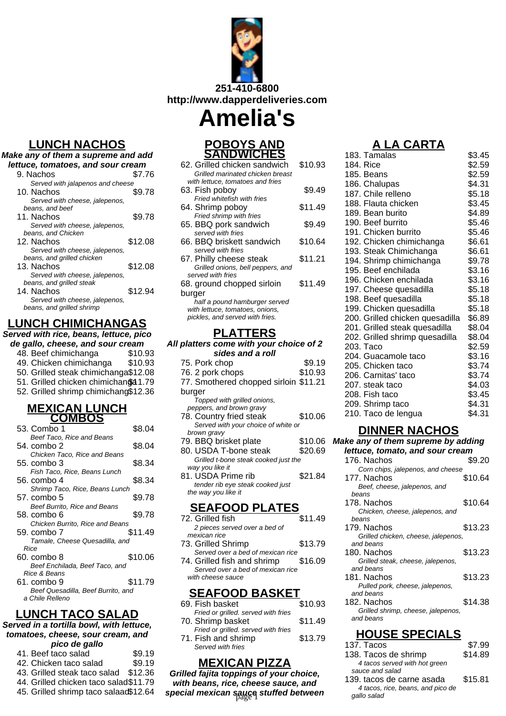

# **LUNCH NACHOS**

| Make any of them a supreme and add |         |  |
|------------------------------------|---------|--|
| lettuce, tomatoes, and sour cream  |         |  |
| 9. Nachos                          | \$7.76  |  |
| Served with jalapenos and cheese   |         |  |
| 10. Nachos                         | \$9.78  |  |
| Served with cheese, jalepenos,     |         |  |
| beans, and beef                    |         |  |
| 11. Nachos                         | \$9.78  |  |
| Served with cheese, jalepenos,     |         |  |
| beans, and Chicken                 |         |  |
| 12. Nachos                         | \$12.08 |  |
| Served with cheese, jalepenos,     |         |  |
| beans, and grilled chicken         |         |  |
| 13. Nachos                         | \$12.08 |  |
| Served with cheese, jalepenos,     |         |  |
| beans, and grilled steak           |         |  |
| 14. Nachos                         | \$12.94 |  |
| Served with cheese, jalepenos,     |         |  |
| beans, and grilled shrimp          |         |  |

# **LUNCH CHIMICHANGAS**

**Served with rice, beans, lettuce, pico de gallo, cheese, and sour cream**

- 48. Beef chimichanga \$10.93
- 49. Chicken chimichanga \$10.93
- 50. Grilled steak chimichanga\$12.08
- 51. Grilled chicken chimichanga 1.79 52. Grilled shrimp chimichang\$12.36

# **MEXICAN LUNCH**

| <b>COMBOS</b>                               |         |
|---------------------------------------------|---------|
| 53. Combo 1                                 | \$8.04  |
| Beef Taco, Rice and Beans                   |         |
| 54. combo 2                                 | \$8.04  |
| Chicken Taco, Rice and Beans                |         |
| 55. combo 3                                 | \$8.34  |
| Fish Taco, Rice, Beans Lunch                |         |
| 56. combo 4                                 | \$8.34  |
| Shrimp Taco, Rice, Beans Lunch              |         |
| 57. combo 5                                 | \$9.78  |
| Beef Burrito, Rice and Beans<br>58. combo 6 | \$9.78  |
| Chicken Burrito, Rice and Beans             |         |
| 59. combo 7                                 | \$11.49 |
| Tamale, Cheese Quesadilla, and              |         |
| Rice                                        |         |
| 60. combo 8                                 | \$10.06 |
| Beef Enchilada, Beef Taco, and              |         |
| Rice & Beans                                |         |
| 61. combo 9                                 | \$11.79 |
| Beef Quesadilla, Beef Burrito, and          |         |
| a Chile Relleno                             |         |

#### **LUNCH TACO SALAD**

#### **Served in a tortilla bowl, with lettuce, tomatoes, cheese, sour cream, and pico de gallo**

| 41. Beef taco salad                    | \$9.19 |
|----------------------------------------|--------|
| 42. Chicken taco salad                 | \$9.19 |
| 43. Grilled steak taco salad \$12.36   |        |
| 44. Grilled chicken taco salad \$11.79 |        |

45. Grilled shrimp taco salaad\$12.64

#### **POBOYS AND SANDWICHES**

| 62. Grilled chicken sandwich      | \$10.93 |
|-----------------------------------|---------|
| Grilled marinated chicken breast  |         |
| with lettuce, tomatoes and fries  |         |
| 63. Fish pobov                    | \$9.49  |
| Fried whitefish with fries        |         |
| 64. Shrimp poboy                  | \$11.49 |
| Fried shrimp with fries           |         |
| 65. BBQ pork sandwich             | \$9.49  |
| served with fries                 |         |
| 66. BBQ briskett sandwich         | \$10.64 |
| served with fries                 |         |
| 67. Philly cheese steak           | \$11.21 |
| Grilled onions, bell peppers, and |         |
| served with fries                 |         |
| 68. ground chopped sirloin        | \$11.49 |
| burger                            |         |
| half a pound hamburger served     |         |
| with lettuce, tomatoes, onions,   |         |
| pickles, and served with fries.   |         |

### **PLATTERS**

#### **All platters come with your choice of 2 sides and a roll**

| 75. Pork chop                         | \$9.19  |
|---------------------------------------|---------|
| 76. 2 pork chops                      | \$10.93 |
| 77. Smothered chopped sirloin \$11.21 |         |
| burger                                |         |
| Topped with grilled onions,           |         |
| peppers, and brown gravy              |         |
| 78. Country fried steak               | \$10.06 |
| Served with your choice of white or   |         |
| brown gravy                           |         |
| 79. BBQ brisket plate                 | \$10.06 |
| 80. USDA T-bone steak                 | \$20.69 |
| Grilled t-bone steak cooked just the  |         |
| way you like it                       |         |
| 81. USDA Prime rib                    | \$21.84 |
| tender rib eye steak cooked just      |         |
| the way you like it                   |         |
| EAFOOD PLATES                         |         |
|                                       |         |

#### 72. Grilled fish \$11.49 2 pieces served over a bed of

- mexican rice 73. Grilled Shrimp \$13.79 Served over a bed of mexican rice
- 74. Grilled fish and shrimp \$16.09 Served over a bed of mexican rice with cheese sauce

### **SEAFOOD BASKET**

| 69. Fish basket                     | \$10.93 |
|-------------------------------------|---------|
| Fried or grilled. served with fries |         |
| 70. Shrimp basket                   | \$11.49 |
| Fried or grilled. served with fries |         |
| 71. Fish and shrimp                 | \$13.79 |
| Served with fries                   |         |

### **MEXICAN PIZZA**

**Grilled fajita toppings of your choice, with beans, rice, cheese sauce, and special mexican sauce stuffed between**<br>gallo salad

# **A LA CARTA**

| 183. Tamalas                    | \$3.45 |
|---------------------------------|--------|
| 184. Rice                       | \$2.59 |
| 185. Beans                      | \$2.59 |
| 186. Chalupas                   | \$4.31 |
| 187. Chile relleno              | \$5.18 |
| 188. Flauta chicken             | \$3.45 |
| 189. Bean burito                | \$4.89 |
| 190. Beef burrito               | \$5.46 |
| 191. Chicken burrito            | \$5.46 |
| 192. Chicken chimichanga        | \$6.61 |
| 193. Steak Chimichanga          | \$6.61 |
| 194. Shrimp chimichanga         | \$9.78 |
| 195. Beef enchilada             | \$3.16 |
| 196. Chicken enchilada          | \$3.16 |
| 197. Cheese quesadilla          | \$5.18 |
| 198. Beef quesadilla            | \$5.18 |
| 199. Chicken quesadilla         | \$5.18 |
| 200. Grilled chicken quesadilla | \$6.89 |
| 201. Grilled steak quesadilla   | \$8.04 |
| 202. Grilled shrimp quesadilla  | \$8.04 |
| 203. Taco                       | \$2.59 |
| 204. Guacamole taco             | \$3.16 |
| 205. Chicken taco               | \$3.74 |
| 206. Carnitas' taco             | \$3.74 |
| 207. steak taco                 | \$4.03 |
| 208. Fish taco                  | \$3.45 |
| 209. Shrimp taco                | \$4.31 |
| 210. Taco de lengua             | \$4.31 |
|                                 |        |

#### **DINNER NACHOS**

**Make any of them supreme by adding**

| ake any of them supreme by adding   |         |
|-------------------------------------|---------|
| lettuce, tomato, and sour cream     |         |
| 176. Nachos                         | \$9.20  |
| Corn chips, jalepenos, and cheese   |         |
| 177. Nachos                         | \$10.64 |
| Beef, cheese, jalepenos, and        |         |
| beans                               |         |
| 178. Nachos                         | \$10.64 |
| Chicken, cheese, jalepenos, and     |         |
| beans                               |         |
| 179. Nachos                         | \$13.23 |
| Grilled chicken, cheese, jalepenos, |         |
| and beans                           |         |
| 180. Nachos                         | \$13.23 |
| Grilled steak, cheese, jalepenos,   |         |
| and beans                           |         |
| 181. Nachos                         | \$13.23 |
| Pulled pork, cheese, jalepenos,     |         |
| and beans                           |         |

182. Nachos \$14.38 Grilled shrimp, cheese, jalepenos, and beans

# **HOUSE SPECIALS**

| 137. Tacos                        | \$7.99  |
|-----------------------------------|---------|
| 138. Tacos de shrimp              | \$14.89 |
| 4 tacos served with hot green     |         |
| sauce and salad                   |         |
| 139. tacos de carne asada         | \$15.81 |
| 4 tacos, rice, beans, and pico de |         |
| qallo salad                       |         |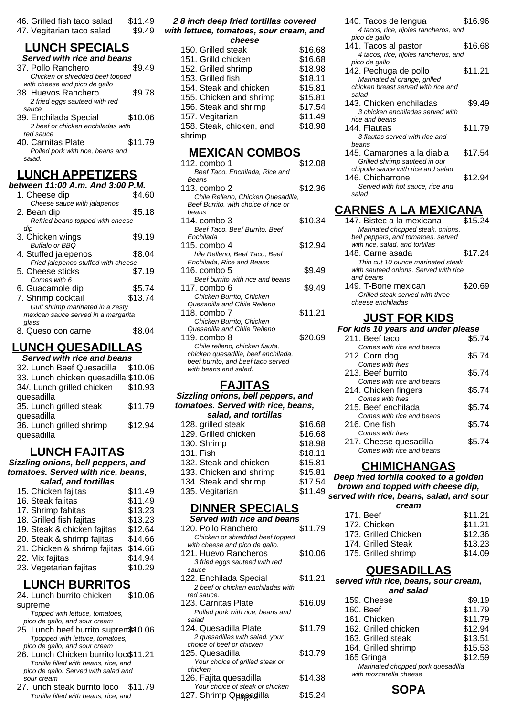| 46. Grilled fish taco salad |  |  | \$11.49 |  |
|-----------------------------|--|--|---------|--|
|                             |  |  |         |  |

47. Vegitarian taco salad \$9.49

# **LUNCH SPECIALS**

| Served with rice and beans        |         |
|-----------------------------------|---------|
| 37. Pollo Ranchero                | S9 49   |
| Chicken or shredded beef topped   |         |
| with cheese and pico de gallo     |         |
| 38. Huevos Ranchero               | \$9.78  |
| 2 fried eggs sauteed with red     |         |
| sauce                             |         |
| 39. Enchilada Special             | \$10.06 |
| 2 beef or chicken enchiladas with |         |
| red sauce                         |         |
| 40. Carnitas Plate                | \$11.79 |
| Polled pork with rice, beans and  |         |
| salad.                            |         |
|                                   |         |

# **LUNCH APPETIZERS**

| between 11:00 A.m. And 3:00 P.M.    |         |  |
|-------------------------------------|---------|--|
| 1. Cheese dip                       | \$4.60  |  |
| Cheese sauce with jalapenos         |         |  |
| 2. Bean dip                         | \$5.18  |  |
| Refried beans topped with cheese    |         |  |
| dip                                 |         |  |
| 3. Chicken wings                    | \$9.19  |  |
| Buffalo or BBO                      |         |  |
| 4. Stuffed jalepenos                | \$8.04  |  |
| Fried jalepenos stuffed with cheese |         |  |
| 5. Cheese sticks                    | \$7.19  |  |
| Comes with 6                        |         |  |
| 6. Guacamole dip                    | \$5.74  |  |
| 7. Shrimp cocktail                  | \$13.74 |  |
| Gulf shrimp marinated in a zesty    |         |  |
| mexican sauce served in a margarita |         |  |
| qlass                               |         |  |
| 8. Queso con carne                  | S8.04   |  |
|                                     |         |  |

# **LUNCH QUESADILLAS**

| Served with rice and beans           |         |  |  |
|--------------------------------------|---------|--|--|
| 32. Lunch Beef Quesadilla \$10.06    |         |  |  |
| 33. Lunch chicken quesadilla \$10.06 |         |  |  |
| 34/. Lunch grilled chicken           | \$10.93 |  |  |
| quesadilla                           |         |  |  |
| 35. Lunch grilled steak              | \$11.79 |  |  |
| quesadilla                           |         |  |  |
| 36. Lunch grilled shrimp             | \$12.94 |  |  |
| quesadilla                           |         |  |  |
|                                      |         |  |  |

# **LUNCH FAJITAS**

**Sizzling onions, bell peppers, and tomatoes. Served with rice, beans, salad, and tortillas**

| 15. Chicken fajitas          | \$11.49 |
|------------------------------|---------|
| 16. Steak fajitas            | \$11.49 |
| 17. Shrimp fahitas           | \$13.23 |
| 18. Grilled fish fajitas     | \$13.23 |
| 19. Steak & chicken fajitas  | \$12.64 |
| 20. Steak & shrimp fajitas   | \$14.66 |
| 21. Chicken & shrimp fajitas | \$14.66 |
| 22. Mix fajitas              | \$14.94 |
| 23. Vegetarian fajitas       | \$10.29 |
|                              |         |

# **LUNCH BURRITOS**

| 24. Lunch burrito chicken             | \$10.06 |
|---------------------------------------|---------|
| supreme                               |         |
| Topped with lettuce, tomatoes,        |         |
| pico de gallo, and sour cream         |         |
| 25. Lunch beef burrito supremeto 0.06 |         |

- Tpopped with lettuce, tomatoes, pico de gallo, and sour cream
- 26. Lunch Chicken burrito loc \$11.21 Tortilla filled with beans, rice, and pico de gallo. Served with salad and sour cream
- 27. lunch steak burrito loco \$11.79 Tortilla filled with beans, rice, and

#### **2 8 inch deep fried tortillas covered with lettuce, tomatoes, sour cream, and**

| cheese                   |         |
|--------------------------|---------|
| 150. Grilled steak       | \$16.68 |
| 151. Grilld chicken      | \$16.68 |
| 152. Grilled shrimp      | \$18.98 |
| 153. Grilled fish        | \$18.11 |
| 154. Steak and chicken   | \$15.81 |
| 155. Chicken and shrimp  | \$15.81 |
| 156. Steak and shrimp    | \$17.54 |
| 157. Vegitarian          | \$11.49 |
| 158. Steak, chicken, and | \$18.98 |
| shrimp                   |         |
|                          |         |

#### **MEXICAN COMBOS**

| 112. combo 1                         | \$12.08 |
|--------------------------------------|---------|
| Beef Taco, Enchilada, Rice and       |         |
| Beans                                |         |
| 113. combo 2                         | \$12.36 |
| Chile Relleno, Chicken Quesadilla,   |         |
| Beef Burrito, with choice of rice or |         |
| heans                                |         |
| 114. combo 3                         | \$10.34 |
| Beef Taco, Beef Burrito, Beef        |         |
| Enchilada                            |         |
| 115. combo 4                         | \$12.94 |
| hile Relleno, Beef Taco, Beef        |         |
| Enchilada, Rice and Beans            |         |
| 116. combo 5                         | \$9.49  |
| Beef burrito with rice and beans     |         |
| 117. combo 6                         | \$9.49  |
| Chicken Burrito, Chicken             |         |
| Quesadilla and Chile Relleno         |         |
| 118. combo 7                         | \$11.21 |
| Chicken Burrito, Chicken             |         |
| Quesadilla and Chile Relleno         |         |
| 119. combo 8                         | \$20.69 |
| Chile relleno, chicken flauta,       |         |
| chicken quesadilla, beef enchilada,  |         |
| beef burrito, and beef taco served   |         |
| with beans and salad.                |         |
|                                      |         |
| FAJITAS                              |         |

| .                                  |         |  |  |
|------------------------------------|---------|--|--|
| Sizzling onions, bell peppers, and |         |  |  |
| tomatoes. Served with rice, beans, |         |  |  |
| salad, and tortillas               |         |  |  |
| 128. grilled steak                 | \$16.68 |  |  |
| 129. Grilled chicken               | \$16.68 |  |  |
| 130. Shrimp                        | \$18.98 |  |  |
| <b>131. Fish</b>                   | \$18.11 |  |  |
| 132. Steak and chicken             | \$15.81 |  |  |
| 133. Chicken and shrimp            | \$15.81 |  |  |
| 134. Steak and shrimp              | \$17.54 |  |  |
| 135. Vegitarian                    | \$11.49 |  |  |
|                                    |         |  |  |

# **DINNER SPECIALS**

| Served with rice and beans                             |         | 17 I. Deel                           |
|--------------------------------------------------------|---------|--------------------------------------|
| 120. Pollo Ranchero<br>Chicken or shredded beef topped | \$11.79 | 172. Chicken<br>173. Grilled Chicken |
| with cheese and pico de gallo.                         |         | 174. Grilled Steak                   |
| 121. Huevo Rancheros                                   | \$10.06 | 175. Grilled shrimp                  |
| 3 fried eggs sauteed with red<br>sauce                 |         | <b>QUESADIL</b>                      |
| 122. Enchilada Special                                 | \$11.21 | served with rice, bean.              |
| 2 beef or chicken enchiladas with<br>red sauce.        |         | and salad                            |
| 123. Carnitas Plate                                    | \$16.09 | 159. Cheese                          |
| Polled pork with rice, beans and                       |         | 160. Beef                            |
| salad                                                  |         | 161. Chicken                         |
| 124. Quesadilla Plate                                  | \$11.79 | 162. Grilled chicken                 |
| 2 quesadillas with salad. your                         |         | 163. Grilled steak                   |
| choice of beef or chicken                              |         | 164. Grilled shrimp                  |
| 125. Quesadilla                                        | \$13.79 | 165 Gringa                           |
| Your choice of grilled steak or<br>chicken             |         | Marinated chopped po                 |
| 126. Fajita quesadilla                                 | \$14.38 | with mozzarella cheese               |
| Your choice of steak or chicken                        |         |                                      |
| 127. Shrimp Quesagilla                                 | \$15.24 |                                      |
|                                                        |         |                                      |

| 140. Tacos de lengua<br>4 tacos, rice, rijoles rancheros, and                                                 | \$16.96 |
|---------------------------------------------------------------------------------------------------------------|---------|
| pico de gallo<br>141. Tacos al pastor<br>4 tacos, rice, rijoles rancheros, and                                | \$16.68 |
| pico de gallo<br>142. Pechuga de pollo<br>Marinated al orange, grilled<br>chicken breast served with rice and | \$11.21 |
| salad<br>143. Chicken enchiladas<br>3 chicken enchiladas served with                                          | \$9.49  |
| rice and beans<br>144. Flautas<br>3 flautas served with rice and<br>beans                                     | \$11.79 |
| 145. Camarones a la diabla<br>Grilled shrimp sauteed in our                                                   | \$17.54 |
| chipotle sauce with rice and salad<br>146. Chicharrone<br>Served with hot sauce, rice and<br>salad            | \$12.94 |
| CARNES A LA MEXICANA                                                                                          |         |
| 147. Bistec a la mexicana<br>Marinated chopped steak, onions,<br>bell peppers, and tomatoes. served           | \$15.24 |
| with rice, salad, and tortillas<br>148. Carne asada                                                           | \$17.24 |

Thin cut 10 ounce marinated steak with sauteed onions. Served with rice and beans 149. T-Bone mexican \$20.69 Grilled steak served with three cheese enchiladas

### **JUST FOR KIDS**

| For kids 10 years and under please |        |  |
|------------------------------------|--------|--|
| 211. Beef taco                     | \$5.74 |  |
| Comes with rice and beans          |        |  |
| 212. Corn dog                      | \$5.74 |  |
| Comes with fries                   |        |  |
| 213. Beef burrito                  | \$5.74 |  |
| Comes with rice and beans          |        |  |
| 214. Chicken fingers               | \$5.74 |  |
| Comes with fries                   |        |  |
| 215. Beef enchilada                | \$5.74 |  |
| Comes with rice and beans          |        |  |
| 216. One fish                      | \$5.74 |  |
| Comes with fries                   |        |  |
| 217. Cheese quesadilla             | \$5.74 |  |
| Comes with rice and beans          |        |  |

#### **CHIMICHANGAS**

**Deep fried tortilla cooked to a golden brown and topped with cheese dip,**

| served with rice, beans, salad, and sour |       |  |  |
|------------------------------------------|-------|--|--|
|                                          | cream |  |  |

| 171. Beef            | \$11.21 |
|----------------------|---------|
| 172. Chicken         | \$11.21 |
| 173. Grilled Chicken | \$12.36 |
| 174. Grilled Steak   | \$13.23 |
| 175. Grilled shrimp  | \$14.09 |
|                      |         |

### **QUESADILLAS**

#### **served with rice, beans, sour cream, and salad**

| 159. Cheese                       | \$9.19  |
|-----------------------------------|---------|
| 160. Beef                         | \$11.79 |
| 161. Chicken                      | \$11.79 |
| 162. Grilled chicken              | \$12.94 |
| 163. Grilled steak                | \$13.51 |
| 164. Grilled shrimp               | \$15.53 |
| 165 Gringa                        | \$12.59 |
| Marinated chopped pork quesadilla |         |
| with mozzarella cheese            |         |
|                                   |         |